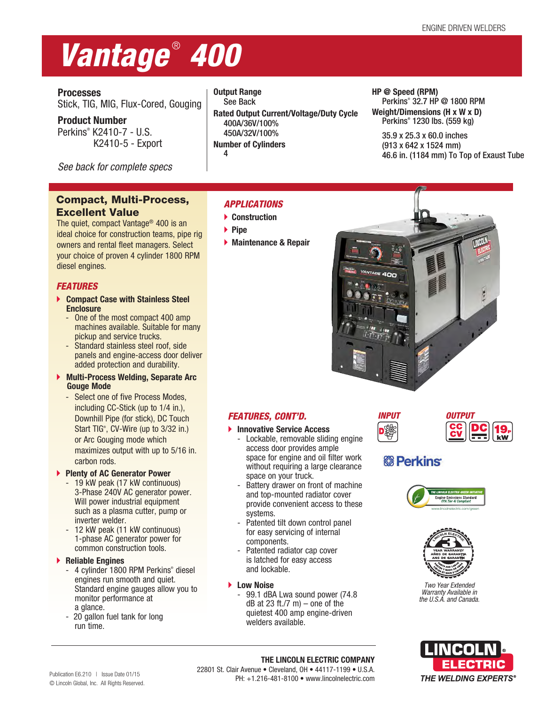# *Vantage* ®  *400*

**Processes**

Stick, TIG, MIG, Flux-Cored, Gouging

**Product Number** Perkins® K2410-7 - U.S. K2410-5 - Export

*See back for complete specs*

# Compact, Multi-Process, Excellent Value

The quiet, compact Vantage® 400 is an ideal choice for construction teams, pipe rig owners and rental fleet managers. Select your choice of proven 4 cylinder 1800 RPM diesel engines.

# *FEATURES*

- **Compact Case with Stainless Steel Enclosure**
	- One of the most compact 400 amp machines available. Suitable for many pickup and service trucks.
	- Standard stainless steel roof, side panels and engine-access door deliver added protection and durability.
- **Multi-Process Welding, Separate Arc Gouge Mode** 
	- Select one of five Process Modes, including CC-Stick (up to 1/4 in.), Downhill Pipe (for stick), DC Touch Start TIG®, CV-Wire (up to 3/32 in.) or Arc Gouging mode which maximizes output with up to 5/16 in. carbon rods.

# **Plenty of AC Generator Power**

- 19 kW peak (17 kW continuous) 3-Phase 240V AC generator power. Will power industrial equipment such as a plasma cutter, pump or inverter welder.
- 12 kW peak (11 kW continuous) 1-phase AC generator power for common construction tools.

# **Reliable Engines**

- 4 cylinder 1800 RPM Perkins® diesel engines run smooth and quiet. Standard engine gauges allow you to monitor performance at a glance.
- 20 gallon fuel tank for long run time.

**Output Range** See Back **Rated Output Current/Voltage/Duty Cycle** 400A/36V/100% 450A/32V/100% **Number of Cylinders**

# *APPLICATIONS*

- **Construction**
- **Pipe**

4

**Maintenance & Repair**



**HP @ Speed (RPM)**

Perkins® 32.7 HP @ 1800 RPM **Weight/Dimensions (H x W x D)** Perkins® 1230 lbs. (559 kg) 35.9 x 25.3 x 60.0 inches (913 x 642 x 1524 mm)

46.6 in. (1184 mm) To Top of Exaust Tube

# *FEATURES, CONT'D.*

- **Innovative Service Access**
	- Lockable, removable sliding engine access door provides ample space for engine and oil filter work without requiring a large clearance space on your truck.
	- Battery drawer on front of machine and top-mounted radiator cover provide convenient access to these systems.
	- Patented tilt down control panel for easy servicing of internal components.
	- Patented radiator cap cover is latched for easy access and lockable.
- **Low Noise**
	- 99.1 dBA Lwa sound power (74.8  $dB$  at 23 ft./7 m) – one of the quietest 400 amp engine-driven welders available.



# **&B** Perkins





*Two Year Extended Warranty Available in the U.S.A. and Canada.*

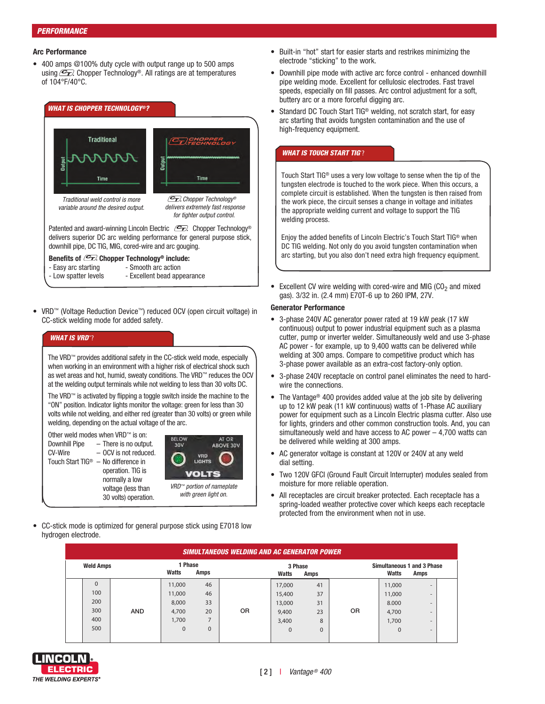# *PERFORMANCE*

# **Arc Performance**

• 400 amps @100% duty cycle with output range up to 500 amps using  $\mathcal{F}$  Chopper Technology®. All ratings are at temperatures of 104°F/40°C.



Patented and award-winning Lincoln Electric  $\mathscr{F}_n$  Chopper Technology® delivers superior DC arc welding performance for general purpose stick, downhill pipe, DC TIG, MIG, cored-wire and arc gouging.

# **Benefits of**  $\mathbb{Z}$  **Chopper Technology® include:**

- Easy arc starting Smooth arc action
	-
- Low spatter levels Excellent bead appearance
- VRD™ (Voltage Reduction Device™) reduced OCV (open circuit voltage) in CC-stick welding mode for added safety.

# *WHAT IS VRD*™?

The VRD™ provides additional safety in the CC-stick weld mode, especially when working in an environment with a higher risk of electrical shock such as wet areas and hot, humid, sweaty conditions. The VRD™ reduces the OCV at the welding output terminals while not welding to less than 30 volts DC.

The VRD™ is activated by flipping a toggle switch inside the machine to the "ON" position. Indicator lights monitor the voltage: green for less than 30 volts while not welding, and either red (greater than 30 volts) or green while welding, depending on the actual voltage of the arc.

Other weld modes when VRD™ is on: Downhill Pipe – There is no output. CV-Wire – OCV is not reduced. Touch Start TIG® – No difference in operation. TIG is normally a low voltage (less than 30 volts) operation.



• CC-stick mode is optimized for general purpose stick using E7018 low hydrogen electrode.

- Built-in "hot" start for easier starts and restrikes minimizing the electrode "sticking" to the work.
- Downhill pipe mode with active arc force control enhanced downhill pipe welding mode. Excellent for cellulosic electrodes. Fast travel speeds, especially on fill passes. Arc control adjustment for a soft, buttery arc or a more forceful digging arc.
- Standard DC Touch Start TIG<sup>®</sup> welding, not scratch start, for easy arc starting that avoids tungsten contamination and the use of high-frequency equipment.

# *WHAT IS TOUCH START TIG*® ?

Touch Start TIG® uses a very low voltage to sense when the tip of the tungsten electrode is touched to the work piece. When this occurs, a complete circuit is established. When the tungsten is then raised from the work piece, the circuit senses a change in voltage and initiates the appropriate welding current and voltage to support the TIG welding process.

Enjoy the added benefits of Lincoln Electric's Touch Start TIG® when DC TIG welding. Not only do you avoid tungsten contamination when arc starting, but you also don't need extra high frequency equipment.

Excellent CV wire welding with cored-wire and MIG  $(CO<sub>2</sub>)$  and mixed gas). 3/32 in. (2.4 mm) E70T-6 up to 260 IPM, 27V.

# **Generator Performance**

- 3-phase 240V AC generator power rated at 19 kW peak (17 kW continuous) output to power industrial equipment such as a plasma cutter, pump or inverter welder. Simultaneously weld and use 3-phase AC power - for example, up to 9,400 watts can be delivered while welding at 300 amps. Compare to competitive product which has 3-phase power available as an extra-cost factory-only option.
- 3-phase 240V receptacle on control panel eliminates the need to hardwire the connections.
- The Vantage<sup>®</sup> 400 provides added value at the job site by delivering up to 12 kW peak (11 kW continuous) watts of 1-Phase AC auxiliary power for equipment such as a Lincoln Electric plasma cutter. Also use for lights, grinders and other common construction tools. And, you can simultaneously weld and have access to AC power – 4,700 watts can be delivered while welding at 300 amps.
- AC generator voltage is constant at 120V or 240V at any weld dial setting.
- Two 120V GFCI (Ground Fault Circuit Interrupter) modules sealed from moisture for more reliable operation.
- All receptacles are circuit breaker protected. Each receptacle has a spring-loaded weather protective cover which keeps each receptacle protected from the environment when not in use.

| <b>SIMULTANEOUS WELDING AND AC GENERATOR POWER</b> |            |                          |             |                |                          |          |           |                                                    |                          |  |  |
|----------------------------------------------------|------------|--------------------------|-------------|----------------|--------------------------|----------|-----------|----------------------------------------------------|--------------------------|--|--|
| <b>Weld Amps</b>                                   |            | 1 Phase<br>Watts<br>Amps |             |                | 3 Phase<br>Watts<br>Amps |          |           | <b>Simultaneous 1 and 3 Phase</b><br>Watts<br>Amps |                          |  |  |
| 0                                                  |            | 11,000                   | 46          |                | 17,000                   | 41       |           | 11,000                                             | $\sim$                   |  |  |
| 100                                                |            | 11,000                   | 46          |                | 15,400                   | 37       |           | 11,000                                             | $\overline{\phantom{a}}$ |  |  |
| 200                                                |            | 8,000                    | 33          |                | 13,000                   | 31       |           | 8.000                                              | $\overline{\phantom{a}}$ |  |  |
| 300                                                | <b>AND</b> | 4,700                    | 20          | 0 <sub>R</sub> | 9,400                    | 23       | <b>OR</b> | 4,700                                              | $\overline{\phantom{a}}$ |  |  |
| 400                                                |            | 1,700                    |             |                | 3,400                    | 8        |           | 1,700                                              | $\overline{\phantom{a}}$ |  |  |
| 500                                                |            | $\Omega$                 | $\mathbf 0$ |                | 0                        | $\Omega$ |           | $\Omega$                                           | $\overline{\phantom{a}}$ |  |  |

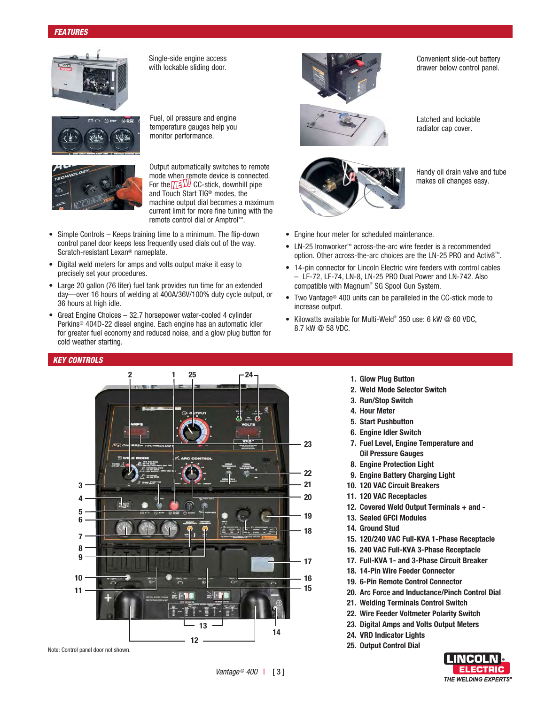

Single-side engine access with lockable sliding door.





Output automatically switches to remote mode when remote device is connected. For the  $\sqrt{2}$ UH CC-stick, downhill pipe and Touch Start TIG® modes, the machine output dial becomes a maximum current limit for more fine tuning with the remote control dial or Amptrol™.

- Simple Controls Keeps training time to a minimum. The flip-down control panel door keeps less frequently used dials out of the way. Scratch-resistant Lexan® nameplate.
- Digital weld meters for amps and volts output make it easy to precisely set your procedures.
- Large 20 gallon (76 liter) fuel tank provides run time for an extended day—over 16 hours of welding at 400A/36V/100% duty cycle output, or 36 hours at high idle.
- Great Engine Choices 32.7 horsepower water-cooled 4 cylinder Perkins® 404D-22 diesel engine. Each engine has an automatic idler for greater fuel economy and reduced noise, and a glow plug button for cold weather starting.

# *KEY CONTROLS*





Convenient slide-out battery drawer below control panel.





radiator cap cover.

Latched and lockable

Handy oil drain valve and tube makes oil changes easy.

- Engine hour meter for scheduled maintenance.
- LN-25 Ironworker™ across-the-arc wire feeder is a recommended option. Other across-the-arc choices are the LN-25 PRO and Activ8™.
- 14-pin connector for Lincoln Electric wire feeders with control cables – LF-72, LF-74, LN-8, LN-25 PRO Dual Power and LN-742. Also compatible with Magnum® SG Spool Gun System.
- Two Vantage® 400 units can be paralleled in the CC-stick mode to increase output.
- Kilowatts available for Multi-Weld® 350 use: 6 kW @ 60 VDC, 8.7 kW @ 58 VDC.
	- **1. Glow Plug Button**
	- **2. Weld Mode Selector Switch**
	- **3. Run/Stop Switch**
	- **4. Hour Meter**
	- **5. Start Pushbutton**
	- **6. Engine Idler Switch**
	- **7. Fuel Level, Engine Temperature and Oil Pressure Gauges**
	- **8. Engine Protection Light**
	- **9. Engine Battery Charging Light**
	- **10. 120 VAC Circuit Breakers**
	- **11. 120 VAC Receptacles**
	- **12. Covered Weld Output Terminals + and -**
	- **13. Sealed GFCI Modules**
	- **14. Ground Stud**
	- **15. 120/240 VAC Full-KVA 1-Phase Receptacle**
	- **16. 240 VAC Full-KVA 3-Phase Receptacle**
	- **17. Full-KVA 1- and 3-Phase Circuit Breaker**
	- **18. 14-Pin Wire Feeder Connector**
	- **19. 6-Pin Remote Control Connector**
	- **20. Arc Force and Inductance/Pinch Control Dial**
	- **21. Welding Terminals Control Switch**
	- **22. Wire Feeder Voltmeter Polarity Switch**
	- **23. Digital Amps and Volts Output Meters**
	- **24. VRD Indicator Lights**
- **25. Output Control Dial** Note: Control panel door not shown.

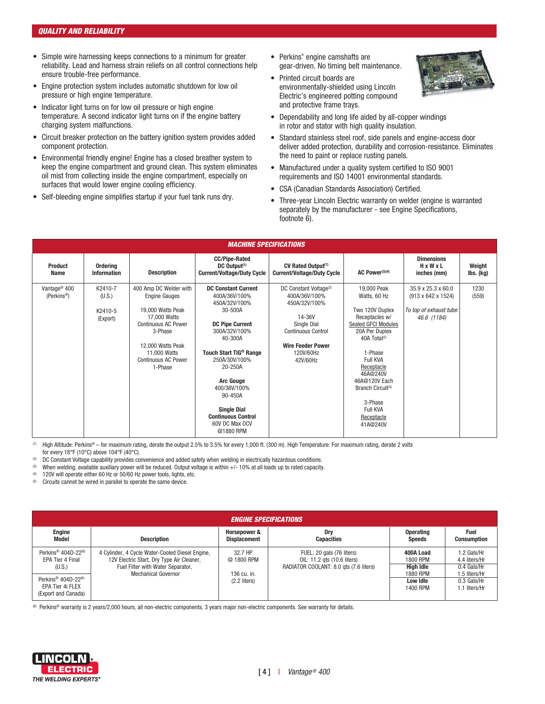- Simple wire harnessing keeps connections to a minimum for greater reliability. Lead and harness strain reliefs on all control connections help ensure trouble-free performance.
- Engine protection system includes automatic shutdown for low oil pressure or high engine temperature.
- Indicator light turns on for low oil pressure or high engine temperature. A second indicator light turns on if the engine battery charging system malfunctions.
- Circuit breaker protection on the battery ignition system provides added component protection.
- Environmental friendly engine! Engine has a closed breather system to keep the engine compartment and ground clean. This system eliminates oil mist from collecting inside the engine compartment, especially on surfaces that would lower engine cooling efficiency.
- Self-bleeding engine simplifies startup if your fuel tank runs dry.
- Perkins® engine camshafts are gear-driven. No timing belt maintenance.
- Printed circuit boards are environmentally-shielded using Lincoln Electric's engineered potting compound and protective frame trays.



- Dependability and long life aided by all-copper windings in rotor and stator with high quality insulation.
- Standard stainless steel roof, side panels and engine-access door deliver added protection, durability and corrosion-resistance. Eliminates the need to paint or replace rusting panels.
- Manufactured under a quality system certified to ISO 9001 requirements and ISO 14001 environmental standards.
- CSA (Canadian Standards Association) Certified.
- Three-year Lincoln Electric warranty on welder (engine is warranted separately by the manufacturer - see Engine Specifications, footnote 6).

| <b>MACHINE SPECIFICATIONS</b>                       |                                                      |                                                                                     |                                                                                       |                                                                                |                                                                     |                                                                                                |                     |  |  |
|-----------------------------------------------------|------------------------------------------------------|-------------------------------------------------------------------------------------|---------------------------------------------------------------------------------------|--------------------------------------------------------------------------------|---------------------------------------------------------------------|------------------------------------------------------------------------------------------------|---------------------|--|--|
| <b>Product</b><br>Name                              | Ordering<br><b>Description</b><br><b>Information</b> |                                                                                     | <b>CC/Pipe-Rated</b><br>DC Output <sup>(1)</sup><br><b>Current/Voltage/Duty Cycle</b> | CV Rated Output <sup>(1)</sup><br><b>Current/Voltage/Duty Cycle</b>            | AC Power <sup>(3)(4)</sup>                                          | <b>Dimensions</b><br>HxWxL<br>inches (mm)                                                      | Weight<br>lbs. (kg) |  |  |
| Vantage <sup>®</sup> 400<br>(Perkins <sup>®</sup> ) | K2410-7<br>(U.S.)<br>K2410-5<br>(Export)             | 400 Amp DC Welder with<br><b>Engine Gauges</b><br>19,000 Watts Peak<br>17,000 Watts | <b>DC Constant Current</b><br>400A/36V/100%<br>450A/32V/100%<br>30-500A               | DC Constant Voltage <sup>(2)</sup><br>400A/36V/100%<br>450A/32V/100%<br>14-36V | 19,000 Peak<br>Watts, 60 Hz<br>Two 120V Duplex<br>Receptacles w/    | 35.9 x 25.3 x 60.0<br>$(913 \times 642 \times 1524)$<br>To top of exhaust tube:<br>46.6 (1184) | 1230<br>(559)       |  |  |
|                                                     |                                                      | <b>Continuous AC Power</b><br>3-Phase                                               | <b>DC Pipe Current</b><br>300A/32V/100%<br>40-300A                                    | Single Dial<br><b>Continuous Control</b><br><b>Wire Feeder Power</b>           | Sealed GFCI Modules<br>20A Per Duplex<br>$40A$ Total <sup>(5)</sup> |                                                                                                |                     |  |  |
|                                                     |                                                      | 12,000 Watts Peak<br>11,000 Watts<br><b>Continuous AC Power</b><br>1-Phase          | Touch Start TIG <sup>®</sup> Range<br>250A/30V/100%<br>20-250A                        | 120V/60Hz<br>42V/60Hz                                                          | 1-Phase<br>Full KVA<br>Receptacle<br>46A@240V                       |                                                                                                |                     |  |  |
|                                                     |                                                      |                                                                                     | <b>Arc Gouge</b><br>400/36V/100%<br>90-450A                                           |                                                                                | 46A@120V Each<br>Branch Circuit <sup>(5)</sup><br>3-Phase           |                                                                                                |                     |  |  |
|                                                     |                                                      |                                                                                     | <b>Single Dial</b><br><b>Continuous Control</b><br>60V DC Max OCV<br>@1880 RPM        |                                                                                | Full KVA<br>Receptacle<br>41A@240V                                  |                                                                                                |                     |  |  |

(1) High Altitude: Perkins® – for maximum rating, derate the output 2.5% to 3.5% for every 1,000 ft. (300 m). High Temperature: For maximum rating, derate 2 volts for every 18°F (10°C) above 104°F (40°C).

(2) DC Constant Voltage capability provides convenience and added safety when welding in electrically hazardous conditions.

(3) When welding, available auxiliary power will be reduced. Output voltage is within +/- 10% at all loads up to rated capacity.

(4) 120V will operate either 60 Hz or 50/60 Hz power tools, lights, etc.

(5) Circuits cannot be wired in parallel to operate the same device.

| <i><b>ENGINE SPECIFICATIONS</b></i>                                              |                                                                                                                                   |                                     |                                                                                                    |                                    |                                               |  |  |  |
|----------------------------------------------------------------------------------|-----------------------------------------------------------------------------------------------------------------------------------|-------------------------------------|----------------------------------------------------------------------------------------------------|------------------------------------|-----------------------------------------------|--|--|--|
| <b>Engine</b><br>Model                                                           | <b>Description</b>                                                                                                                | Horsepower &<br><b>Displacement</b> | Drv<br><b>Capacities</b>                                                                           | <b>Operating</b><br><b>Speeds</b>  | <b>Fuel</b><br><b>Consumption</b>             |  |  |  |
| Perkins <sup>®</sup> 404D-22 $^{(6)}$<br>EPA Tier 4 Final<br>(U.S.)              | 4 Cylinder, 4 Cycle Water-Cooled Diesel Engine,<br>12V Electric Start, Dry Type Air Cleaner,<br>Fuel Filter with Water Separator, | 32.7 HP<br>@ 1800 RPM               | FUEL: 20 gals (76 liters)<br>OIL: 11.2 gts (10.6 liters)<br>RADIATOR COOLANT: 8.0 gts (7.6 liters) | 400A Load<br>1800 RPM<br>High Idle | 1.2 Gals/Hr<br>4.4 liters/Hr<br>0.4 Gals/Hr   |  |  |  |
| Perkins <sup>®</sup> 404D-22 $^{(6)}$<br>EPA Tier 4i FLEX<br>(Export and Canada) | <b>Mechanical Governor</b>                                                                                                        | 136 cu. in.<br>$(2.2$ liters)       |                                                                                                    | 1880 RPM<br>Low Idle<br>1400 RPM   | 1.5 liters/Hr<br>0.3 Gals/Hr<br>1.1 liters/Hr |  |  |  |

(6) Perkins® warranty is 2 years/2,000 hours, all non-electric components, 3 years major non-electric components. See warranty for details.

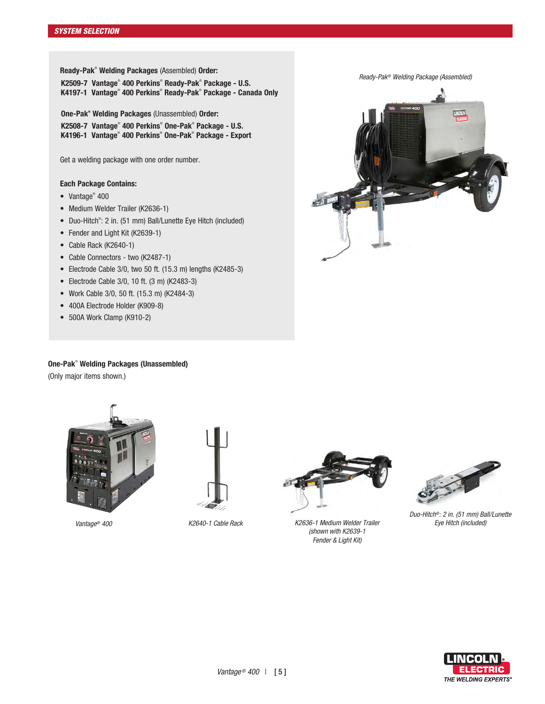**Ready-Pak**®  **Welding Packages** (Assembled) **Order:**

**K2509-7 Vantage**®  **400 Perkins**®  **Ready-Pak**®  **Package - U.S. K4197-1 Vantage**®  **400 Perkins**®  **Ready-Pak**®  **Package - Canada Only**

**One-Pak® Welding Packages** (Unassembled) **Order: K2508-7 Vantage**®  **400 Perkins**®  **One-Pak**®  **Package - U.S. K4196-1 Vantage**®  **400 Perkins**®  **One-Pak**®  **Package - Export**

Get a welding package with one order number.

# **Each Package Contains:**

- Vantage<sup>®</sup> 400
- Medium Welder Trailer (K2636-1)
- Duo-Hitch<sup>®</sup>: 2 in. (51 mm) Ball/Lunette Eye Hitch (included)
- Fender and Light Kit (K2639-1)
- Cable Rack (K2640-1)
- Cable Connectors two (K2487-1)
- Electrode Cable 3/0, two 50 ft. (15.3 m) lengths (K2485-3)
- Electrode Cable 3/0, 10 ft. (3 m) (K2483-3)
- Work Cable 3/0, 50 ft. (15.3 m) (K2484-3)
- 400A Electrode Holder (K909-8)
- 500A Work Clamp (K910-2)

*Ready-Pak® Welding Package (Assembled)*



# **One-Pak**®  **Welding Packages (Unassembled)**

(Only major items shown.)



*Vantage® 400*





*K2636-1 Medium Welder Trailer K2640-1 Cable Rack Eye Hitch (included) (shown with K2639-1 Fender & Light Kit)*



*Duo-Hitch®: 2 in. (51 mm) Ball/Lunette* 

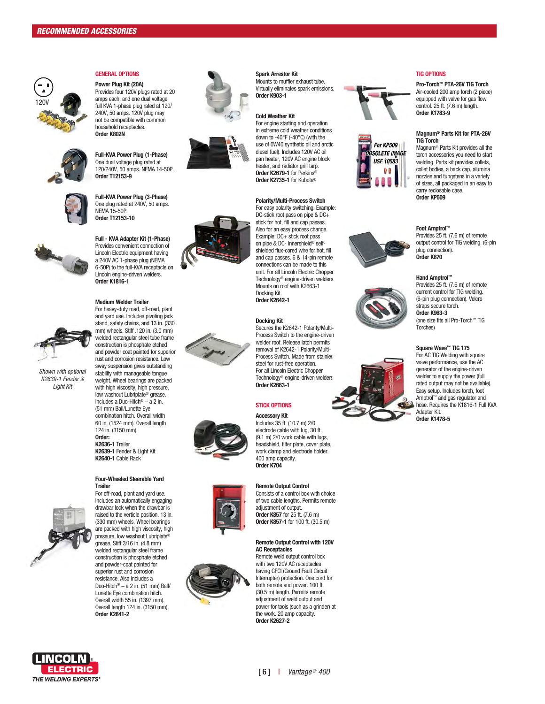

#### **GENERAL OPTIONS**

**Power Plug Kit (20A)** Provides four 120V plugs rated at 20 amps each, and one dual voltage, full KVA 1-phase plug rated at 120/ 240V, 50 amps. 120V plug may not be compatible with common household receptacles. **Order K802N**



**Full-KVA Power Plug (1-Phase)** One dual voltage plug rated at 120/240V, 50 amps. NEMA 14-50P. **Order T12153-9**



**Full-KVA Power Plug (3-Phase)** One plug rated at 240V, 50 amps. NEMA 15-50P. **Order T12153-10**



**Full - KVA Adapter Kit (1-Phase)** Provides convenient connection of Lincoln Electric equipment having a 240V AC 1-phase plug (NEMA 6-50P) to the full-KVA receptacle on Lincoln engine-driven welders. **Order K1816-1** 

**Medium Welder Trailer** For heavy-duty road, off-road, plant



*Shown with optional K2639-1 Fender & Light Kit*

and yard use. Includes pivoting jack stand, safety chains, and 13 in. (330 mm) wheels. Stiff .120 in. (3.0 mm) welded rectangular steel tube frame construction is phosphate etched and powder coat painted for superior rust and corrosion resistance. Low sway suspension gives outstanding stability with manageable tongue weight. Wheel bearings are packed with high viscosity, high pressure, low washout Lubriplate ® grease. Includes a Duo-Hitch ® – a 2 in. (51 mm) Ball/Lunette Eye combination hitch. Overall width 60 in. (1524 mm). Overall length 124 in. (3150 mm). **Order: K2636-1** Trailer **K2639-1** Fender & Light Kit **K2640-1** Cable Rack

#### **Four-Wheeled Steerable Yard Trailer** For off-road, plant and yard use.



Includes an automatically engaging drawbar lock when the drawbar is raised to the verticle position. 13 in. (330 mm) wheels. Wheel bearings are packed with high viscosity, high pressure, low washout Lubriplate ® grease. Stiff 3/16 in. (4.8 mm) welded rectangular steel frame construction is phosphate etched and powder-coat painted for superior rust and corrosion resistance. Also includes a Duo-Hitch ® – a 2 in. (51 mm) Ball/ Lunette Eye combination hitch. Overall width 55 in. (1397 mm). Overall length 124 in. (3150 mm). **Order K2641-2**















#### **Spark Arrestor Kit** Mounts to muffler exhaust tube. Virtually eliminates spark emissions. **Order K903-1**

#### **Cold Weather Kit**

For engine starting and operation in extreme cold weather conditions down to -40°F (-40°C) (with the use of 0W40 synthetic oil and arctic diesel fuel). Includes 120V AC oil pan heater, 120V AC engine block heater, and radiator grill tarp. **Order K2679-1** for Perkins ® **Order K2735-1** for Kubota ®

## **Polarity/Multi-Process Switch**

For easy polarity switching. Example: DC-stick root pass on pipe & DC+ stick for hot, fill and cap passes. Also for an easy process change. Example: DC+ stick root pass on pipe & DC- Innershield ® selfshielded flux-cored wire for hot, fill and cap passes. 6 & 14-pin remote connections can be made to this unit. For all Lincoln Electric Chopper Technology ® engine-driven welders. Mounts on roof with K2663-1 Docking Kit. **Order K2642-1** 

## **Docking Kit**

Secures the K2642-1 Polarity/Multi-Process Switch to the engine-driven welder roof. Release latch permits removal of K2642-1 Polarity/Multi-Process Switch. Made from stainles steel for rust-free operation. For all Lincoln Electric Chopper Technology ® engine-driven welders. **Order K2663-1**

## **STICK OPTIONS**

**Accessory Kit** Includes 35 ft. (10.7 m) 2/0 electrode cable with lug, 30 ft. (9.1 m) 2/0 work cable with lugs. headshield, filter plate, cover plate, work clamp and electrode holder. 400 amp capacity. **Order K704**

#### **Remote Output Control**

Consists of a control box with choice of two cable lengths. Permits remote adjustment of output. **Order K857** for 25 ft. (7.6 m) **Order K857-1** for 100 ft. (30.5 m)

#### **Remote Output Control with 120V AC Receptacles**

Remote weld output control box with two 120V AC receptacles having GFCI (Ground Fault Circuit Interrupter) protection. One cord for both remote and power. 100 ft. (30.5 m) length. Permits remote adjustment of weld output and power for tools (such as a grinder) at the work. 20 amp capacity. **Order K2627-2**





**Magnum ® Parts Kit for PTA-26V TIG Torch**  Magnum ® Parts Kit provides all the torch accessories you need to start welding. Parts kit provides collets,

**Pro-Torch ™ PTA-26V TIG Torch** Air-cooled 200 amp torch (2 piece) equipped with valve for gas flow control. 25 ft. (7.6 m) length. **Order K1783-9**

collet bodies, a back cap, alumina nozzles and tungstens in a variety of sizes, all packaged in an easy to carry reclosable case. **Order KP509**

#### **Foot Amptrol ™**

**TIG OPTIONS**

Provides 25 ft. (7.6 m) of remote output control for TIG welding. (6-pin plug connection). **Order K870**

#### **Hand Amptrol ™**

Provides 25 ft. (7.6 m) of remote current control for TIG welding. (6-pin plug connection). Velcro straps secure torch. **Order K963-3**  (one size fits all Pro-Torch ™ TIG Torches)

#### **Square Wave ™ TIG 175**

For AC TIG Welding with square wave performance, use the AC generator of the engine-driven welder to supply the power (full rated output may not be available). Easy setup. Includes torch, foot Amptrol ™ and gas regulator and hose. Requires the K1816-1 Full KVA Adapter Kit. **Order K1478-5** 



# **LINCOLN ELECTRIC** THE WELDING EXPERTS®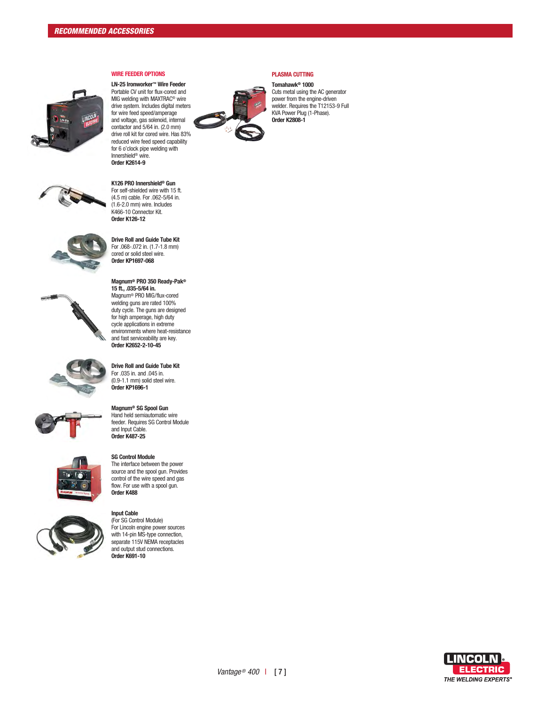



**LN-25 Ironworker™ Wire Feeder**  Portable CV unit for flux-cored and MIG welding with MAXTRAC® wire drive system. Includes digital meters for wire feed speed/amperage and voltage, gas solenoid, internal contactor and 5/64 in. (2.0 mm) drive roll kit for cored wire. Has 83% reduced wire feed speed capability for 6 o'clock pipe welding with Innershield® wire. **Order K2614-9**

**WIRE FEEDER OPTIONS**



(4.5 m) cable. For .062-5/64 in. (1.6-2.0 mm) wire. Includes K466-10 Connector Kit. **Order K126-12** 



**Drive Roll and Guide Tube Kit** For .068-.072 in. (1.7-1.8 mm) cored or solid steel wire. **Order KP1697-068**

**Magnum® PRO 350 Ready-Pak® 15 ft., .035-5/64 in.** Magnum® PRO MIG/flux-cored



welding guns are rated 100% duty cycle. The guns are designed for high amperage, high duty cycle applications in extreme environments where heat-resistance and fast serviceability are key. **Order K2652-2-10-45** 







**Magnum® SG Spool Gun** Hand held semiautomatic wire feeder. Requires SG Control Module and Input Cable. **Order K487-25**

**Drive Roll and Guide Tube Kit**  For .035 in. and .045 in.



### **SG Control Module** The interface between the power source and the spool gun. Provides

control of the wire speed and gas flow. For use with a spool gun. **Order K488**



**Input Cable** (For SG Control Module) For Lincoln engine power sources with 14-pin MS-type connection, separate 115V NEMA receptacles

and output stud connections. **Order K691-10**



## **PLASMA CUTTING**

**Tomahawk® 1000** Cuts metal using the AC generator power from the engine-driven welder. Requires the T12153-9 Full KVA Power Plug (1-Phase). **Order K2808-1**